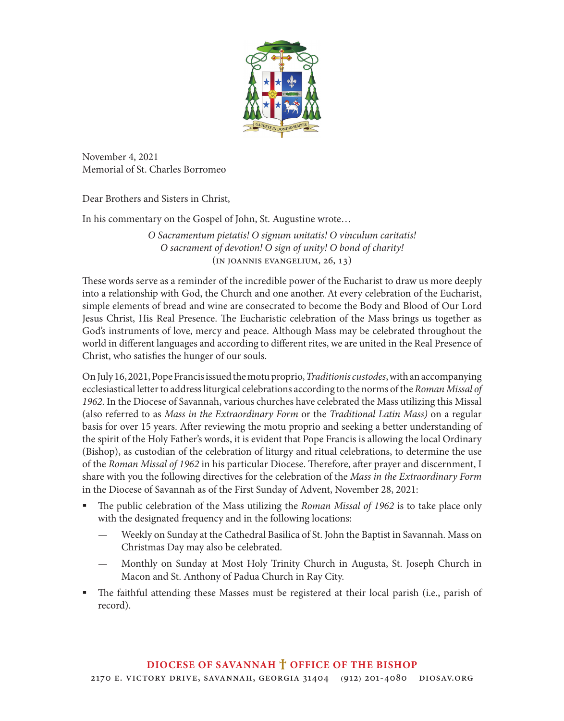

November 4, 2021 Memorial of St. Charles Borromeo

Dear Brothers and Sisters in Christ,

In his commentary on the Gospel of John, St. Augustine wrote…

*O Sacramentum pietatis! O signum unitatis! O vinculum caritatis! O sacrament of devotion! O sign of unity! O bond of charity!* (In Joannis Evangelium, 26, 13)

These words serve as a reminder of the incredible power of the Eucharist to draw us more deeply into a relationship with God, the Church and one another. At every celebration of the Eucharist, simple elements of bread and wine are consecrated to become the Body and Blood of Our Lord Jesus Christ, His Real Presence. The Eucharistic celebration of the Mass brings us together as God's instruments of love, mercy and peace. Although Mass may be celebrated throughout the world in different languages and according to different rites, we are united in the Real Presence of Christ, who satisfies the hunger of our souls.

On July 16, 2021, Pope Francis issued the motu proprio, *Traditionis custodes*, with an accompanying ecclesiastical letter to address liturgical celebrations according to the norms of the *Roman Missal of 1962*. In the Diocese of Savannah, various churches have celebrated the Mass utilizing this Missal (also referred to as *Mass in the Extraordinary Form* or the *Traditional Latin Mass)* on a regular basis for over 15 years. After reviewing the motu proprio and seeking a better understanding of the spirit of the Holy Father's words, it is evident that Pope Francis is allowing the local Ordinary (Bishop), as custodian of the celebration of liturgy and ritual celebrations, to determine the use of the *Roman Missal of 1962* in his particular Diocese. Therefore, after prayer and discernment, I share with you the following directives for the celebration of the *Mass in the Extraordinary Form* in the Diocese of Savannah as of the First Sunday of Advent, November 28, 2021:

- The public celebration of the Mass utilizing the *Roman Missal of 1962* is to take place only with the designated frequency and in the following locations:
	- Weekly on Sunday at the Cathedral Basilica of St. John the Baptist in Savannah. Mass on Christmas Day may also be celebrated.
	- Monthly on Sunday at Most Holy Trinity Church in Augusta, St. Joseph Church in Macon and St. Anthony of Padua Church in Ray City.
- The faithful attending these Masses must be registered at their local parish (i.e., parish of record).